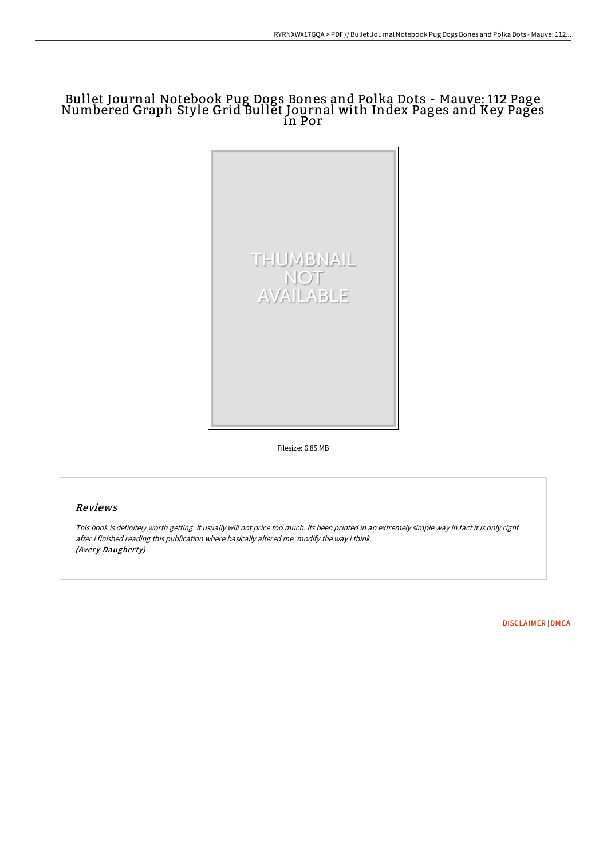## Bullet Journal Notebook Pug Dogs Bones and Polka Dots - Mauve: 112 Page Numbered Graph Style Grid Bullet Journal with Index Pages and Key Pages in Por



Filesize: 6.85 MB

## Reviews

This book is definitely worth getting. It usually will not price too much. Its been printed in an extremely simple way in fact it is only right after i finished reading this publication where basically altered me, modify the way i think. (Avery Daugherty)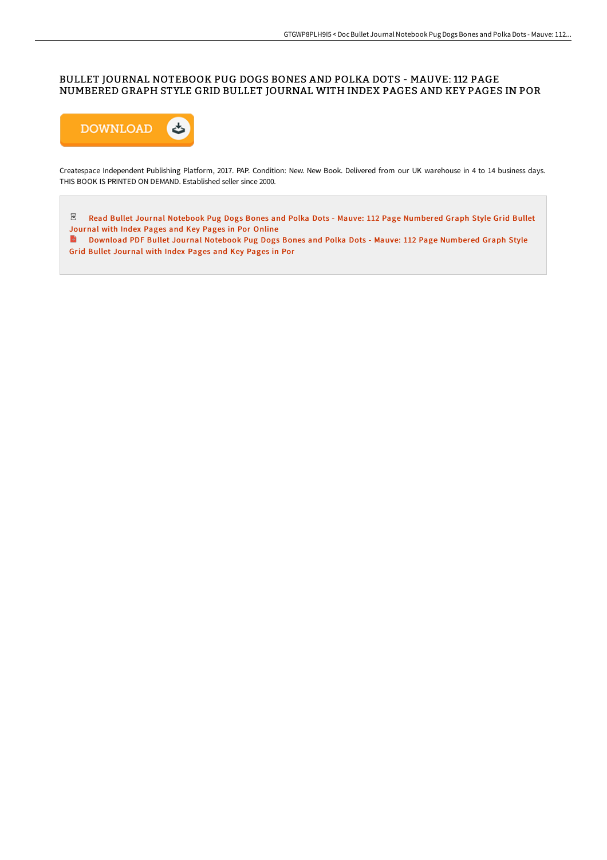### BULLET JOURNAL NOTEBOOK PUG DOGS BONES AND POLKA DOTS - MAUVE: 112 PAGE NUMBERED GRAPH STYLE GRID BULLET JOURNAL WITH INDEX PAGES AND KEY PAGES IN POR



Createspace Independent Publishing Platform, 2017. PAP. Condition: New. New Book. Delivered from our UK warehouse in 4 to 14 business days. THIS BOOK IS PRINTED ON DEMAND. Established seller since 2000.

 $\mathbb E$  Read Bullet Journal Notebook Pug Dogs Bones and Polka Dots - Mauve: 112 Page [Numbered](http://albedo.media/bullet-journal-notebook-pug-dogs-bones-and-polka-8.html) Graph Style Grid Bullet Journal with Index Pages and Key Pages in Por Online

Download PDF Bullet Journal Notebook Pug Dogs Bones and Polka Dots - Mauve: 112 Page [Numbered](http://albedo.media/bullet-journal-notebook-pug-dogs-bones-and-polka-8.html) Graph Style Grid Bullet Journal with Index Pages and Key Pages in Por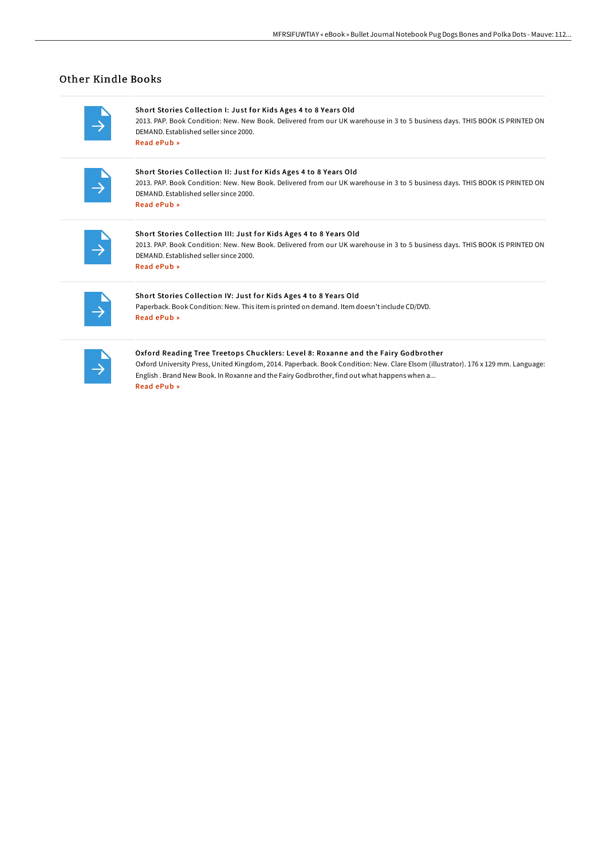# Other Kindle Books

Short Stories Collection I: Just for Kids Ages 4 to 8 Years Old 2013. PAP. Book Condition: New. New Book. Delivered from our UK warehouse in 3 to 5 business days. THIS BOOK IS PRINTED ON DEMAND. Established seller since 2000. Read [ePub](http://albedo.media/short-stories-collection-i-just-for-kids-ages-4-.html) »

### Short Stories Collection II: Just for Kids Ages 4 to 8 Years Old

2013. PAP. Book Condition: New. New Book. Delivered from our UK warehouse in 3 to 5 business days. THIS BOOK IS PRINTED ON DEMAND. Established seller since 2000. Read [ePub](http://albedo.media/short-stories-collection-ii-just-for-kids-ages-4.html) »

### Short Stories Collection III: Just for Kids Ages 4 to 8 Years Old

2013. PAP. Book Condition: New. New Book. Delivered from our UK warehouse in 3 to 5 business days. THIS BOOK IS PRINTED ON DEMAND. Established seller since 2000. Read [ePub](http://albedo.media/short-stories-collection-iii-just-for-kids-ages-.html) »

### Short Stories Collection IV: Just for Kids Ages 4 to 8 Years Old

Paperback. Book Condition: New. This item is printed on demand. Item doesn't include CD/DVD. Read [ePub](http://albedo.media/short-stories-collection-iv-just-for-kids-ages-4.html) »

#### Oxford Reading Tree Treetops Chucklers: Level 8: Roxanne and the Fairy Godbrother

Oxford University Press, United Kingdom, 2014. Paperback. Book Condition: New. Clare Elsom (illustrator). 176 x 129 mm. Language: English . Brand New Book. In Roxanne and the Fairy Godbrother, find out what happens when a... Read [ePub](http://albedo.media/oxford-reading-tree-treetops-chucklers-level-8-r.html) »